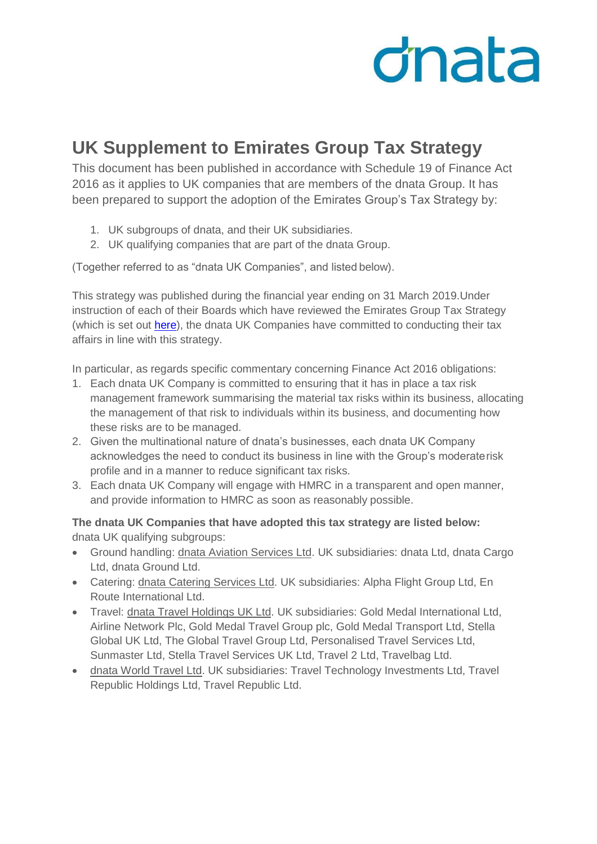## dnata

## **UK Supplement to Emirates Group Tax Strategy**

This document has been published in accordance with Schedule 19 of Finance Act 2016 as it applies to UK companies that are members of the dnata Group. It has been prepared to support the adoption of the Emirates Group's Tax Strategy by:

- 1. UK subgroups of dnata, and their UK subsidiaries.
- 2. UK qualifying companies that are part of the dnata Group.

(Together referred to as "dnata UK Companies", and listed below).

This strategy was published during the financial year ending on 31 March 2019.Under instruction of each of their Boards which have reviewed the Emirates Group Tax Strategy (which is set out [here\)](https://www.dnata.com/doc/emiratesgrouptaxstrategy.pdf), the dnata UK Companies have committed to conducting their tax affairs in line with this strategy.

In particular, as regards specific commentary concerning Finance Act 2016 obligations:

- 1. Each dnata UK Company is committed to ensuring that it has in place a tax risk management framework summarising the material tax risks within its business, allocating the management of that risk to individuals within its business, and documenting how these risks are to be managed.
- 2. Given the multinational nature of dnata's businesses, each dnata UK Company acknowledges the need to conduct its business in line with the Group's moderaterisk profile and in a manner to reduce significant tax risks.
- 3. Each dnata UK Company will engage with HMRC in a transparent and open manner, and provide information to HMRC as soon as reasonably possible.

**The dnata UK Companies that have adopted this tax strategy are listed below:** dnata UK qualifying subgroups:

- Ground handling: dnata Aviation Services Ltd. UK subsidiaries: dnata Ltd, dnata Cargo Ltd, dnata Ground Ltd.
- Catering: dnata Catering Services Ltd. UK subsidiaries: Alpha Flight Group Ltd, En Route International Ltd.
- Travel: dnata Travel Holdings UK Ltd. UK subsidiaries: Gold Medal International Ltd, Airline Network Plc, Gold Medal Travel Group plc, Gold Medal Transport Ltd, Stella Global UK Ltd, The Global Travel Group Ltd, Personalised Travel Services Ltd, Sunmaster Ltd, Stella Travel Services UK Ltd, Travel 2 Ltd, Travelbag Ltd.
- dnata World Travel Ltd. UK subsidiaries: Travel Technology Investments Ltd, Travel Republic Holdings Ltd, Travel Republic Ltd.